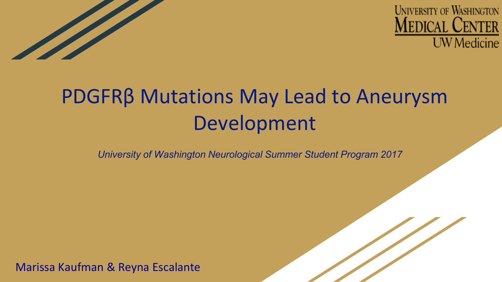



## PDGFRβ Mutations May Lead to Aneurysm Development

*University of Washington Neurological Summer Student Program 2017*

Marissa Kaufman & Reyna Escalante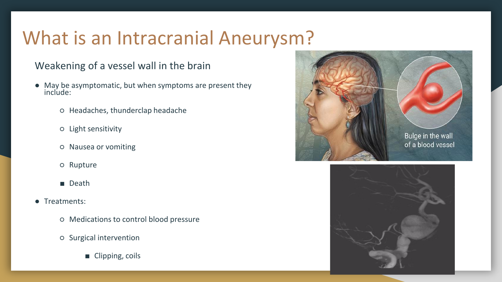### What is an Intracranial Aneurysm?

#### Weakening of a vessel wall in the brain

- May be asymptomatic, but when symptoms are present they include:
	- Headaches, thunderclap headache
	- Light sensitivity
	- Nausea or vomiting
	- Rupture
	- Death
- Treatments:
	- Medications to control blood pressure
	- Surgical intervention
		- Clipping, coils



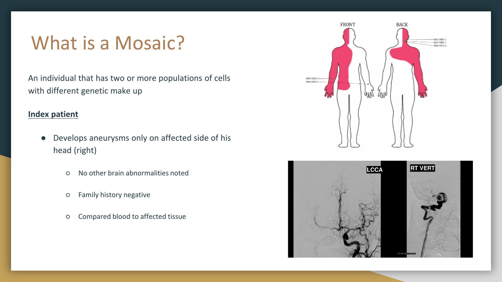### What is a Mosaic?

An individual that has two or more populations of cells with different genetic make up

#### **Index patient**

- Develops aneurysms only on affected side of his head (right)
	- No other brain abnormalities noted
	- Family history negative
	- Compared blood to affected tissue



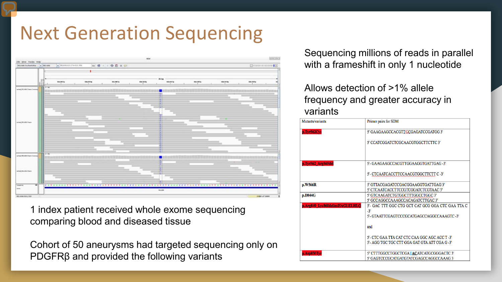### Next Generation Sequencing



1 index patient received whole exome sequencing comparing blood and diseased tissue

Cohort of 50 aneurysms had targeted sequencing only on PDGFRβ and provided the following variants

Sequencing millions of reads in parallel with a frameshift in only 1 nucleotide

#### Allows detection of >1% allele frequency and greater accuracy in variants

| Mutants/variants               | Primer pairs for SDM                                                       |
|--------------------------------|----------------------------------------------------------------------------|
| p.Tyr562Cys                    | 5' GAAGAAGCCACGTTGCGAGATCCGATGG 3'                                         |
|                                | 5' CCATCGGATCTCGCAACGTGGCTTCTTC 3'                                         |
| p.Tyr562 Arg565del             | 5'- GAAGAAGCCACGTTGGAAGGTGATTGAG-3'                                        |
|                                | 5'- CTCAATCACCTTCCAACGTGGCTTCTT C -3'                                      |
| p.W566R                        | 5' GTTACGAGATCCGACGGAAGGTGATTGAG 3'<br>5' CTCAATCACCTTCCGTCGGATCTCGTAAC 3' |
| p.D844G                        | 5' GTCAAGATCTGTGGCTTTGGCCTGGC 3'                                           |
|                                | 5' GCCAGGCCAAAGCCACAGATCTTGAC 3'                                           |
| p.Arg849 Lys860delinsHAGLELHLQ | 5'- GAC TTT GGC CTG GCT CAT GCG GGA CTC GAA TTA C                          |
|                                | $-3'$                                                                      |
|                                | 5'- GTAATTCGAGTCCCGCATGAGCCAGGCCAAAGTC -3'                                 |
|                                | and                                                                        |
|                                | 5'- CTC GAA TTA CAT CTC CAA GGC AGC ACC T -3'                              |
|                                | 5'- AGG TGC TGC CTT GGA GAT GTA ATT CGA G-3'                               |
| p.Asp850Tyr                    | 5' CTTTGGCCTGGCTCGATACATCATGCGGGACTC 3'                                    |
|                                | 5' GAGTCCCGCATGATGTATCGAGCCAGGCCAAAG3                                      |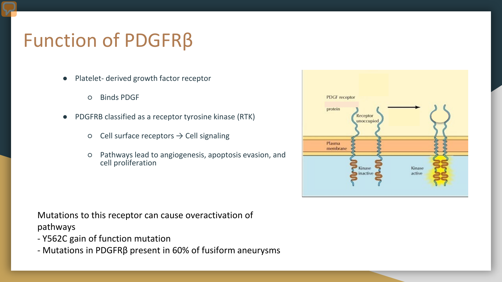### Function of PDGFRβ

- Platelet- derived growth factor receptor
	- Binds PDGF
- PDGFRB classified as a receptor tyrosine kinase (RTK)
	- $\circ$  Cell surface receptors  $\rightarrow$  Cell signaling
	- Pathways lead to angiogenesis, apoptosis evasion, and cell proliferation



- Y562C gain of function mutation
- Mutations in PDGFRβ present in 60% of fusiform aneurysms

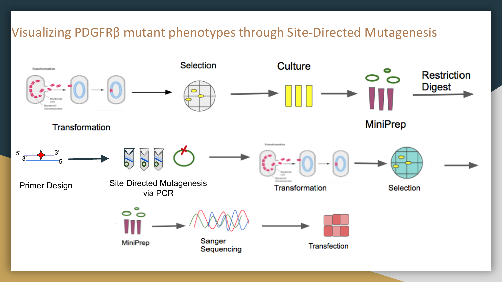#### Visualizing PDGFRβ mutant phenotypes through Site-Directed Mutagenesis

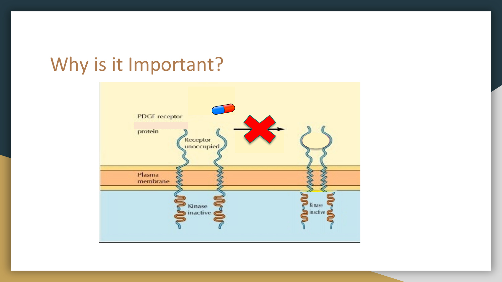### Why is it Important?